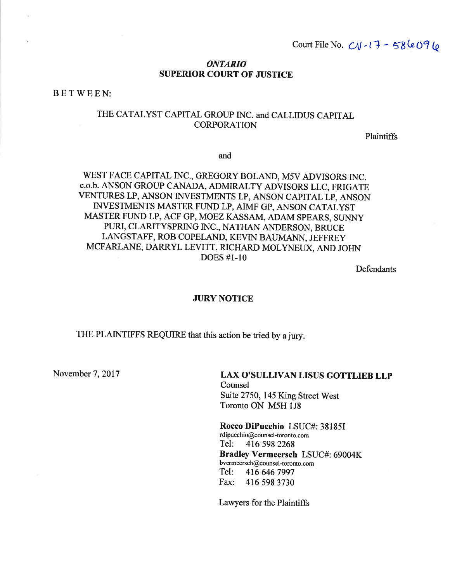Court File No.  $CV-17 - 586096$ 

#### **ONTARIO SUPERIOR COURT OF JUSTICE**

BETWEEN:

## THE CATALYST CAPITAL GROUP INC. and CALLIDUS CAPITAL **CORPORATION**

Plaintiffs

and

### WEST FACE CAPITAL INC., GREGORY BOLAND, M5V ADVISORS INC. c.o.b. ANSON GROUP CANADA, ADMIRALTY ADVISORS LLC, FRIGATE VENTURES LP, ANSON INVESTMENTS LP, ANSON CAPITAL LP, ANSON INVESTMENTS MASTER FUND LP, AIMF GP, ANSON CATALYST MASTER FUND LP, ACF GP, MOEZ KASSAM, ADAM SPEARS, SUNNY PURI, CLARITYSPRING INC., NATHAN ANDERSON, BRUCE LANGSTAFF, ROB COPELAND, KEVIN BAUMANN, JEFFREY MCFARLANE, DARRYL LEVITT, RICHARD MOLYNEUX, AND JOHN **DOES** #1-10

Defendants

#### **JURY NOTICE**

THE PLAINTIFFS REQUIRE that this action be tried by a jury.

November 7, 2017

**LAX O'SULLIVAN LISUS GOTTLIEB LLP** Counsel Suite 2750, 145 King Street West Toronto ON M5H 1J8

Rocco DiPucchio LSUC#: 38185I rdipucchio@counsel-toronto.com Tel: 416 598 2268 Bradley Vermeersch LSUC#: 69004K bvermeersch@counsel-toronto.com Tel: 416 646 7997 Fax: 416 598 3730

Lawyers for the Plaintiffs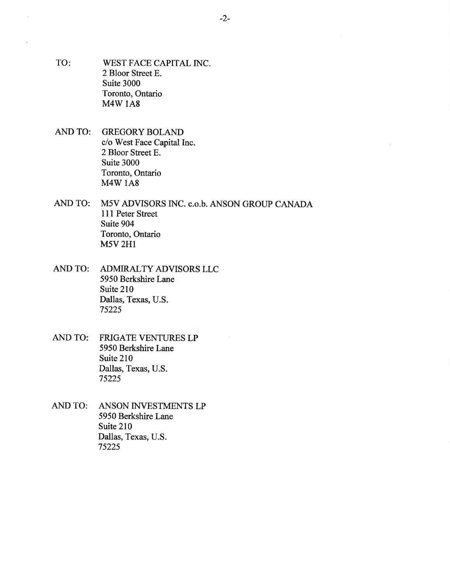- TO: WEST FACE CAPITAL INC. 2 Bloor Street E. Suite 3000 Toronto, Ontario M4W 1A8
- AND TO: GREGORY BOLAND c/o West Face Capital Inc. 2 Bloor Street E. Suite 3000 Toronto, Ontario M4W 1A8
- AND TO: M5V ADVISORS INC. c.o.b. ANSON GROUP CANADA<br>111 Peter Street Suite 904 Toronto, Ontario M5V 2HI
- AND TO: ADMIRALTY ADVISORS LLC 5950 Berkshire Lane Suite 210 Dallas, Texas, U.S. 75225
- AND TO: FRIGATE VENTURES LP 5950 Berkshire Lane Suite 210 Dallas, Texas, U.S. 75225
- AND TO: ANSON INVESTMENTS LP 5950 Berkshire Lane Suite 210 Dallas, Texas, U.S. 7522s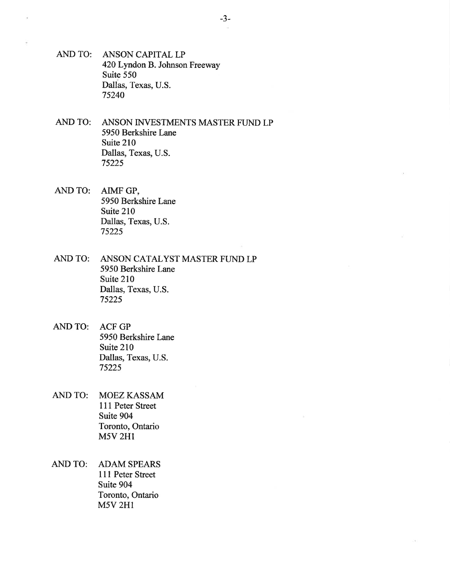- AND TO: ANSON CAPITAL LP 420 Lyndon B. Johnson Freeway Suite 550 Dallas, Texas, U.S. 75240
- AND TO: ANSON INVESTMENTS MASTER FUND LP 5950 Berkshire Lane Suite 210 Dallas, Texas, U.S. 75225
- AND TO: AIMF GP, 5950 Berkshire Lane Suite 210 Dallas, Texas, U.S. 75225
- AND TO: ANSON CATALYST MASTER FUND LP 5950 Berkshire Lane Suite 210 Dallas, Texas, U.S. 75225
- AND TO: ACF GP 5950 Berkshire Lane Suite 210 Dallas, Texas, U.S. 75225
- AND TO: MOEZ KASSAM 111 Peter Street Suite 904 Toronto, Ontario **M5V 2H1**
- AND TO: ADAM SPEARS 111 Peter Street Suite 904 Toronto, Ontario **M5V 2H1**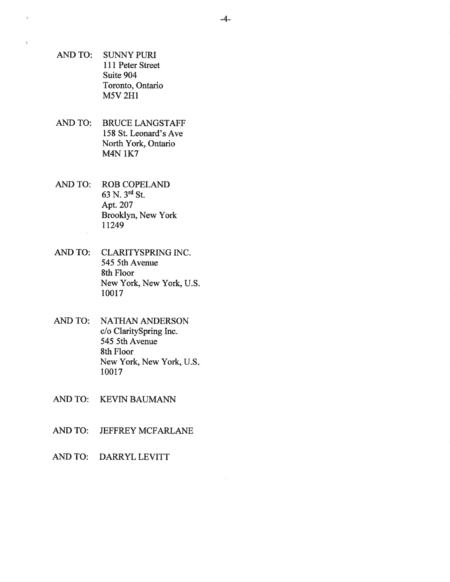- AND TO: SUNNY PURI 111 Peter Street Suite 904 Toronto, Ontario M5V 2H1
- AND TO: BRUCE LANGSTAFF 158 St. Leonard's Ave North York, Ontario M4N 1K7
- AND TO: ROB COPELAND 63 N. 3'd St. Apt.207 Brooklyn, New York 11249
- AND TO: CLARITYSPRING INC. 545 5th Avenue 8th Floor New York, New York, U.S. 10017
- AND TO: NATHAN ANDERSON c/o ClaritySpring Inc. 545 5th Avenue 8th Floor New York, New York, U.S 10017
- AND TO: KEVIN BAUMANN
- AND TO: JEFFREY MCFARLANE
- AND TO: DARRYL LEVITT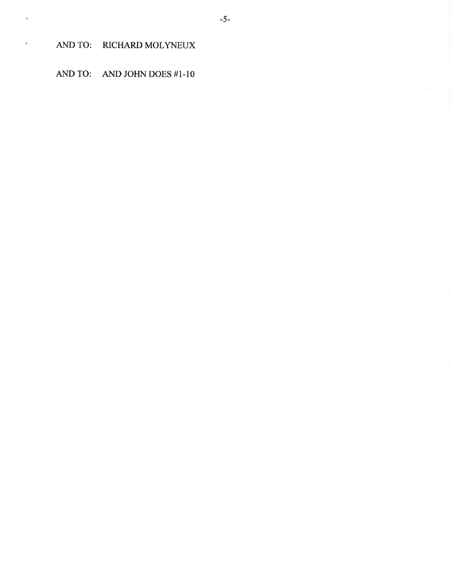AND TO: RICHARD MOLYNEUX

ŵ,

AND TO: AND JOHN DOES #1-10